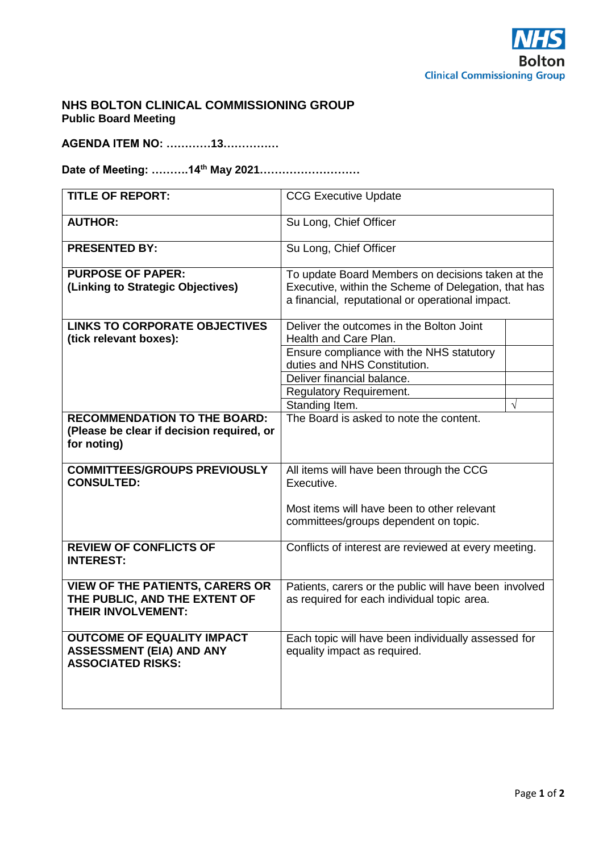

# **NHS BOLTON CLINICAL COMMISSIONING GROUP Public Board Meeting**

**AGENDA ITEM NO: …………13……………**

**Date of Meeting: ……….14th May 2021………………………**

| <b>TITLE OF REPORT:</b>                           | <b>CCG Executive Update</b>                                              |           |
|---------------------------------------------------|--------------------------------------------------------------------------|-----------|
| <b>AUTHOR:</b>                                    | Su Long, Chief Officer                                                   |           |
| <b>PRESENTED BY:</b>                              | Su Long, Chief Officer                                                   |           |
| <b>PURPOSE OF PAPER:</b>                          | To update Board Members on decisions taken at the                        |           |
| (Linking to Strategic Objectives)                 | Executive, within the Scheme of Delegation, that has                     |           |
|                                                   | a financial, reputational or operational impact.                         |           |
| <b>LINKS TO CORPORATE OBJECTIVES</b>              | Deliver the outcomes in the Bolton Joint                                 |           |
| (tick relevant boxes):                            | Health and Care Plan.                                                    |           |
|                                                   | Ensure compliance with the NHS statutory<br>duties and NHS Constitution. |           |
|                                                   | Deliver financial balance.                                               |           |
|                                                   | <b>Regulatory Requirement.</b>                                           |           |
|                                                   | Standing Item.                                                           | $\sqrt{}$ |
| <b>RECOMMENDATION TO THE BOARD:</b>               | The Board is asked to note the content.                                  |           |
| (Please be clear if decision required, or         |                                                                          |           |
| for noting)                                       |                                                                          |           |
|                                                   |                                                                          |           |
| <b>COMMITTEES/GROUPS PREVIOUSLY</b>               | All items will have been through the CCG                                 |           |
| <b>CONSULTED:</b>                                 | Executive.                                                               |           |
|                                                   | Most items will have been to other relevant                              |           |
|                                                   | committees/groups dependent on topic.                                    |           |
|                                                   |                                                                          |           |
| <b>REVIEW OF CONFLICTS OF</b><br><b>INTEREST:</b> | Conflicts of interest are reviewed at every meeting.                     |           |
|                                                   |                                                                          |           |
| <b>VIEW OF THE PATIENTS, CARERS OR</b>            | Patients, carers or the public will have been involved                   |           |
| THE PUBLIC, AND THE EXTENT OF                     | as required for each individual topic area.                              |           |
| <b>THEIR INVOLVEMENT:</b>                         |                                                                          |           |
|                                                   |                                                                          |           |
| <b>OUTCOME OF EQUALITY IMPACT</b>                 | Each topic will have been individually assessed for                      |           |
| <b>ASSESSMENT (EIA) AND ANY</b>                   | equality impact as required.                                             |           |
| <b>ASSOCIATED RISKS:</b>                          |                                                                          |           |
|                                                   |                                                                          |           |
|                                                   |                                                                          |           |